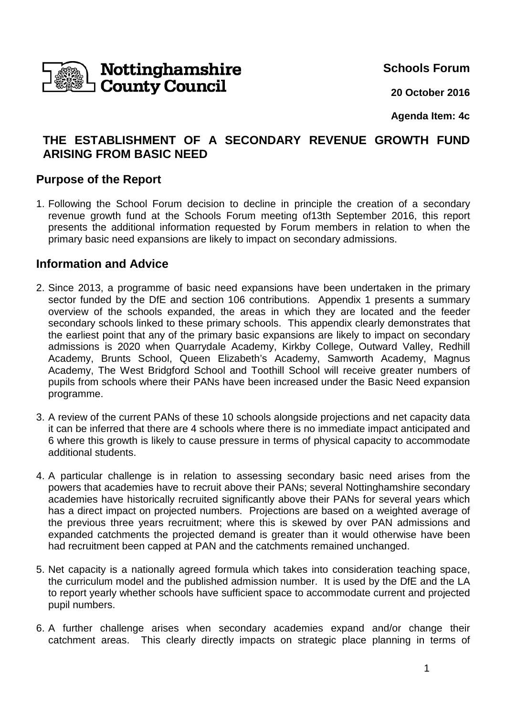

**Schools Forum**

**20 October 2016**

**Agenda Item: 4c**

# **THE ESTABLISHMENT OF A SECONDARY REVENUE GROWTH FUND ARISING FROM BASIC NEED**

## **Purpose of the Report**

1. Following the School Forum decision to decline in principle the creation of a secondary revenue growth fund at the Schools Forum meeting of13th September 2016, this report presents the additional information requested by Forum members in relation to when the primary basic need expansions are likely to impact on secondary admissions.

## **Information and Advice**

- 2. Since 2013, a programme of basic need expansions have been undertaken in the primary sector funded by the DfE and section 106 contributions. Appendix 1 presents a summary overview of the schools expanded, the areas in which they are located and the feeder secondary schools linked to these primary schools. This appendix clearly demonstrates that the earliest point that any of the primary basic expansions are likely to impact on secondary admissions is 2020 when Quarrydale Academy, Kirkby College, Outward Valley, Redhill Academy, Brunts School, Queen Elizabeth's Academy, Samworth Academy, Magnus Academy, The West Bridgford School and Toothill School will receive greater numbers of pupils from schools where their PANs have been increased under the Basic Need expansion programme.
- 3. A review of the current PANs of these 10 schools alongside projections and net capacity data it can be inferred that there are 4 schools where there is no immediate impact anticipated and 6 where this growth is likely to cause pressure in terms of physical capacity to accommodate additional students.
- 4. A particular challenge is in relation to assessing secondary basic need arises from the powers that academies have to recruit above their PANs; several Nottinghamshire secondary academies have historically recruited significantly above their PANs for several years which has a direct impact on projected numbers. Projections are based on a weighted average of the previous three years recruitment; where this is skewed by over PAN admissions and expanded catchments the projected demand is greater than it would otherwise have been had recruitment been capped at PAN and the catchments remained unchanged.
- 5. Net capacity is a nationally agreed formula which takes into consideration teaching space, the curriculum model and the published admission number. It is used by the DfE and the LA to report yearly whether schools have sufficient space to accommodate current and projected pupil numbers.
- 6. A further challenge arises when secondary academies expand and/or change their catchment areas. This clearly directly impacts on strategic place planning in terms of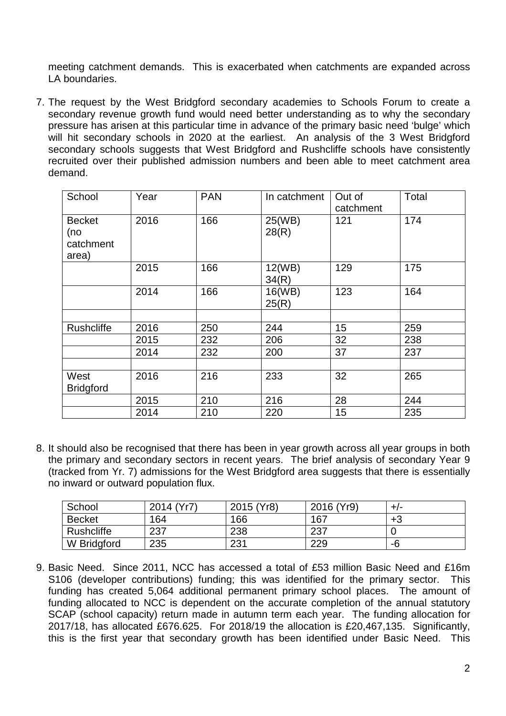meeting catchment demands. This is exacerbated when catchments are expanded across LA boundaries.

7. The request by the West Bridgford secondary academies to Schools Forum to create a secondary revenue growth fund would need better understanding as to why the secondary pressure has arisen at this particular time in advance of the primary basic need 'bulge' which will hit secondary schools in 2020 at the earliest. An analysis of the 3 West Bridgford secondary schools suggests that West Bridgford and Rushcliffe schools have consistently recruited over their published admission numbers and been able to meet catchment area demand.

| School                                     | Year | <b>PAN</b> | In catchment    | Out of<br>catchment | Total |
|--------------------------------------------|------|------------|-----------------|---------------------|-------|
| <b>Becket</b><br>(no<br>catchment<br>area) | 2016 | 166        | 25(WB)<br>28(R) | 121                 | 174   |
|                                            | 2015 | 166        | 12(WB)<br>34(R) | 129                 | 175   |
|                                            | 2014 | 166        | 16(WB)<br>25(R) | 123                 | 164   |
|                                            |      |            |                 |                     |       |
| Rushcliffe                                 | 2016 | 250        | 244             | 15                  | 259   |
|                                            | 2015 | 232        | 206             | 32                  | 238   |
|                                            | 2014 | 232        | 200             | 37                  | 237   |
|                                            |      |            |                 |                     |       |
| West                                       | 2016 | 216        | 233             | 32                  | 265   |
| <b>Bridgford</b>                           |      |            |                 |                     |       |
|                                            | 2015 | 210        | 216             | 28                  | 244   |
|                                            | 2014 | 210        | 220             | 15                  | 235   |

8. It should also be recognised that there has been in year growth across all year groups in both the primary and secondary sectors in recent years. The brief analysis of secondary Year 9 (tracked from Yr. 7) admissions for the West Bridgford area suggests that there is essentially no inward or outward population flux.

| School        | 2014 (Yr7) | 2015 (Yr8) | 2016 (Yr9) | +/- |
|---------------|------------|------------|------------|-----|
| <b>Becket</b> | 164        | 166        | 167        | +3  |
| Rushcliffe    | 237        | 238        | 237        |     |
| W Bridgford   | 235        | 231        | 229        | -6  |

9. Basic Need. Since 2011, NCC has accessed a total of £53 million Basic Need and £16m S106 (developer contributions) funding; this was identified for the primary sector. This funding has created 5,064 additional permanent primary school places. The amount of funding allocated to NCC is dependent on the accurate completion of the annual statutory SCAP (school capacity) return made in autumn term each year. The funding allocation for 2017/18, has allocated £676.625. For 2018/19 the allocation is £20,467,135. Significantly, this is the first year that secondary growth has been identified under Basic Need. This